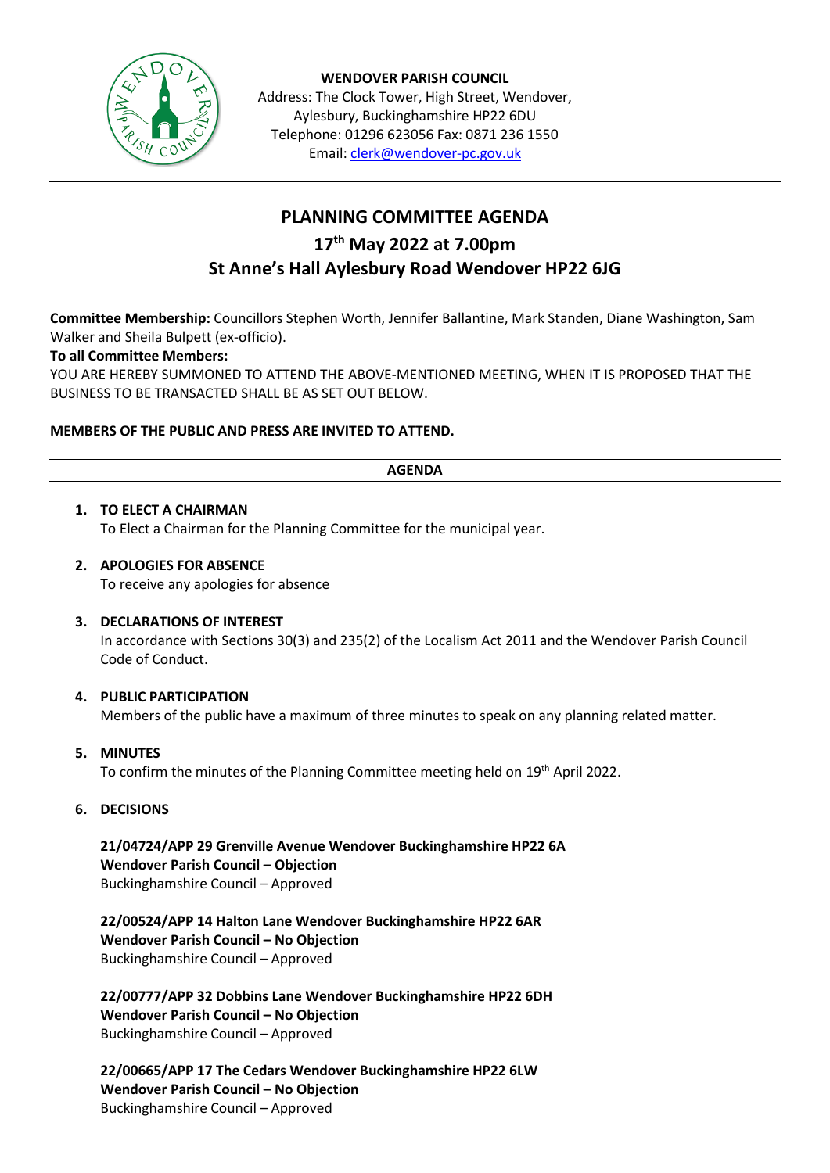

**WENDOVER PARISH COUNCIL** Address: The Clock Tower, High Street, Wendover, Aylesbury, Buckinghamshire HP22 6DU Telephone: 01296 623056 Fax: 0871 236 1550 Email[: clerk@wendover-pc.gov.uk](mailto:clerk@wendover-pc.gov.uk)

### **PLANNING COMMITTEE AGENDA 17th May 2022 at 7.00pm St Anne's Hall Aylesbury Road Wendover HP22 6JG**

**Committee Membership:** Councillors Stephen Worth, Jennifer Ballantine, Mark Standen, Diane Washington, Sam Walker and Sheila Bulpett (ex-officio).

#### **To all Committee Members:**

YOU ARE HEREBY SUMMONED TO ATTEND THE ABOVE-MENTIONED MEETING, WHEN IT IS PROPOSED THAT THE BUSINESS TO BE TRANSACTED SHALL BE AS SET OUT BELOW.

#### **MEMBERS OF THE PUBLIC AND PRESS ARE INVITED TO ATTEND.**

#### **AGENDA**

# **1. TO ELECT A CHAIRMAN**

To Elect a Chairman for the Planning Committee for the municipal year.

#### **2. APOLOGIES FOR ABSENCE**

To receive any apologies for absence

#### **3. DECLARATIONS OF INTEREST**

In accordance with Sections 30(3) and 235(2) of the Localism Act 2011 and the Wendover Parish Council Code of Conduct.

#### **4. PUBLIC PARTICIPATION**

Members of the public have a maximum of three minutes to speak on any planning related matter.

**5. MINUTES**

To confirm the minutes of the Planning Committee meeting held on 19<sup>th</sup> April 2022.

**6. DECISIONS**

**21/04724/APP 29 Grenville Avenue Wendover Buckinghamshire HP22 6A Wendover Parish Council – Objection** Buckinghamshire Council – Approved

**22/00524/APP 14 Halton Lane Wendover Buckinghamshire HP22 6AR Wendover Parish Council – No Objection** Buckinghamshire Council – Approved

**22/00777/APP 32 Dobbins Lane Wendover Buckinghamshire HP22 6DH Wendover Parish Council – No Objection** Buckinghamshire Council – Approved

**22/00665/APP 17 The Cedars Wendover Buckinghamshire HP22 6LW Wendover Parish Council – No Objection** Buckinghamshire Council – Approved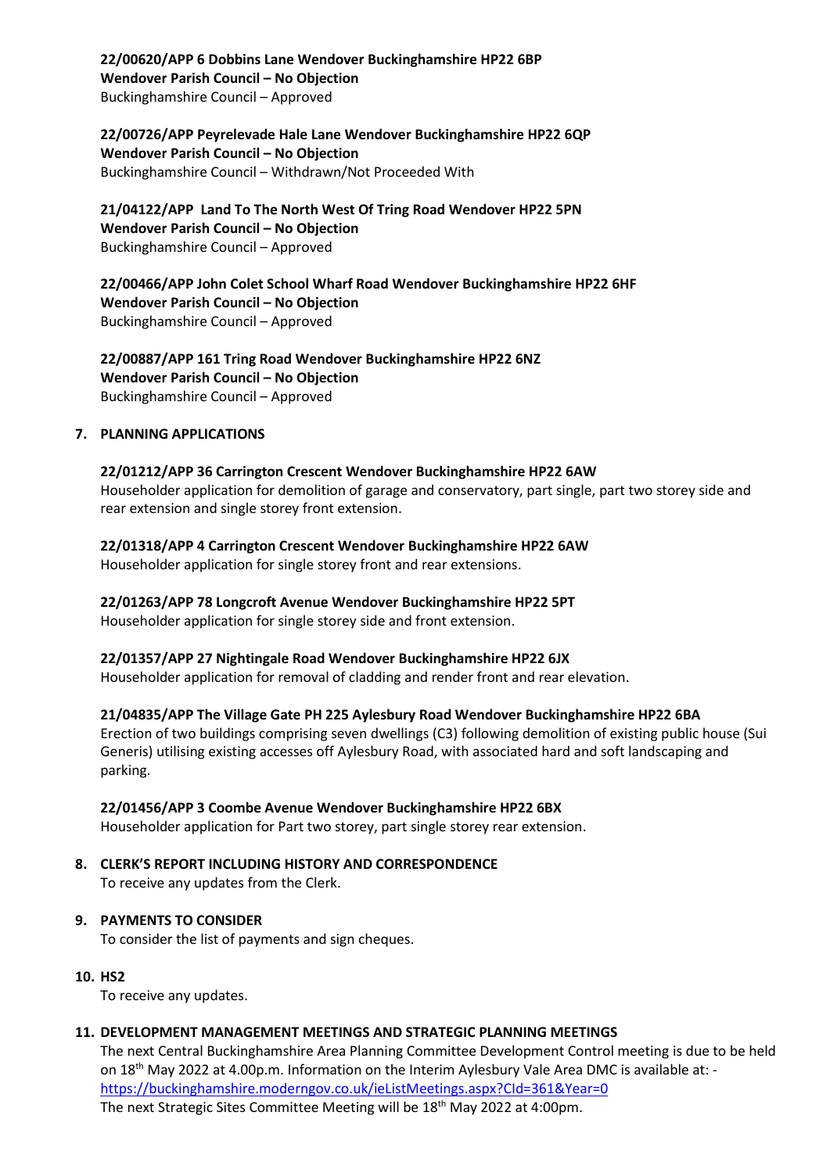**22/00620/APP 6 Dobbins Lane Wendover Buckinghamshire HP22 6BP Wendover Parish Council – No Objection** Buckinghamshire Council – Approved

**22/00726/APP Peyrelevade Hale Lane Wendover Buckinghamshire HP22 6QP Wendover Parish Council – No Objection** Buckinghamshire Council – Withdrawn/Not Proceeded With

**21/04122/APP Land To The North West Of Tring Road Wendover HP22 5PN Wendover Parish Council – No Objection** Buckinghamshire Council – Approved

**22/00466/APP John Colet School Wharf Road Wendover Buckinghamshire HP22 6HF Wendover Parish Council – No Objection** Buckinghamshire Council – Approved

**22/00887/APP 161 Tring Road Wendover Buckinghamshire HP22 6NZ Wendover Parish Council – No Objection** Buckinghamshire Council – Approved

#### **7. PLANNING APPLICATIONS**

**22/01212/APP 36 Carrington Crescent Wendover Buckinghamshire HP22 6AW** Householder application for demolition of garage and conservatory, part single, part two storey side and rear extension and single storey front extension.

**22/01318/APP 4 Carrington Crescent Wendover Buckinghamshire HP22 6AW** Householder application for single storey front and rear extensions.

**22/01263/APP 78 Longcroft Avenue Wendover Buckinghamshire HP22 5PT**

Householder application for single storey side and front extension.

**22/01357/APP 27 Nightingale Road Wendover Buckinghamshire HP22 6JX**

Householder application for removal of cladding and render front and rear elevation.

**21/04835/APP The Village Gate PH 225 Aylesbury Road Wendover Buckinghamshire HP22 6BA** Erection of two buildings comprising seven dwellings (C3) following demolition of existing public house (Sui Generis) utilising existing accesses off Aylesbury Road, with associated hard and soft landscaping and parking.

#### **22/01456/APP 3 Coombe Avenue Wendover Buckinghamshire HP22 6BX**

Householder application for Part two storey, part single storey rear extension.

# **8. CLERK'S REPORT INCLUDING HISTORY AND CORRESPONDENCE**

To receive any updates from the Clerk.

#### **9. PAYMENTS TO CONSIDER**

To consider the list of payments and sign cheques.

**10. HS2**

To receive any updates.

#### **11. DEVELOPMENT MANAGEMENT MEETINGS AND STRATEGIC PLANNING MEETINGS**

The next Central Buckinghamshire Area Planning Committee Development Control meeting is due to be held on 18th May 2022 at 4.00p.m. Information on the Interim Aylesbury Vale Area DMC is available at: <https://buckinghamshire.moderngov.co.uk/ieListMeetings.aspx?CId=361&Year=0> The next Strategic Sites Committee Meeting will be 18<sup>th</sup> May 2022 at 4:00pm.